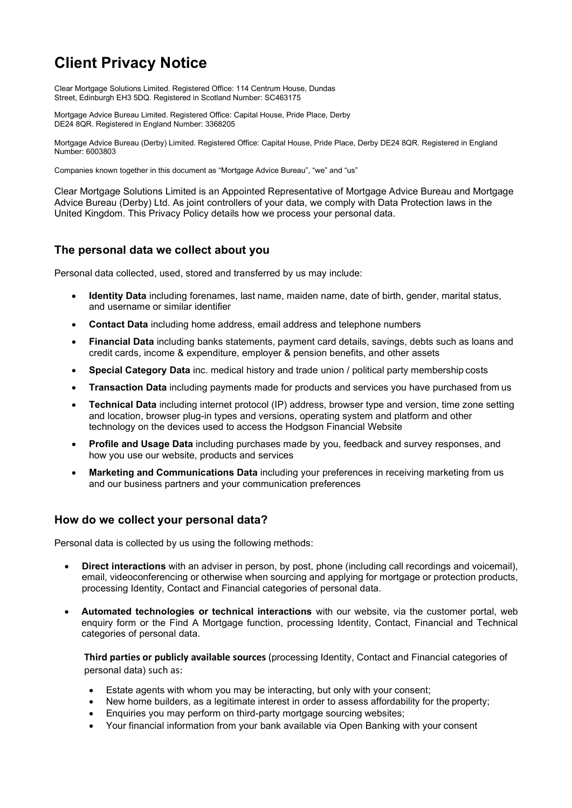# Client Privacy Notice

Clear Mortgage Solutions Limited. Registered Office: 114 Centrum House, Dundas Street, Edinburgh EH3 5DQ. Registered in Scotland Number: SC463175

Mortgage Advice Bureau Limited. Registered Office: Capital House, Pride Place, Derby DE24 8QR. Registered in England Number: 3368205

Mortgage Advice Bureau (Derby) Limited. Registered Office: Capital House, Pride Place, Derby DE24 8QR. Registered in England Number: 6003803

Companies known together in this document as "Mortgage Advice Bureau", "we" and "us"

Clear Mortgage Solutions Limited is an Appointed Representative of Mortgage Advice Bureau and Mortgage Advice Bureau (Derby) Ltd. As joint controllers of your data, we comply with Data Protection laws in the United Kingdom. This Privacy Policy details how we process your personal data.

#### The personal data we collect about you

Personal data collected, used, stored and transferred by us may include:

- Identity Data including forenames, last name, maiden name, date of birth, gender, marital status, and username or similar identifier
- Contact Data including home address, email address and telephone numbers
- Financial Data including banks statements, payment card details, savings, debts such as loans and credit cards, income & expenditure, employer & pension benefits, and other assets
- Special Category Data inc. medical history and trade union / political party membership costs
- Transaction Data including payments made for products and services you have purchased from us
- Technical Data including internet protocol (IP) address, browser type and version, time zone setting and location, browser plug-in types and versions, operating system and platform and other technology on the devices used to access the Hodgson Financial Website
- Profile and Usage Data including purchases made by you, feedback and survey responses, and how you use our website, products and services
- Marketing and Communications Data including your preferences in receiving marketing from us and our business partners and your communication preferences

## How do we collect your personal data?

Personal data is collected by us using the following methods:

- Direct interactions with an adviser in person, by post, phone (including call recordings and voicemail), email, videoconferencing or otherwise when sourcing and applying for mortgage or protection products, processing Identity, Contact and Financial categories of personal data.
- Automated technologies or technical interactions with our website, via the customer portal, web enquiry form or the Find A Mortgage function, processing Identity, Contact, Financial and Technical categories of personal data.

Third parties or publicly available sources (processing Identity, Contact and Financial categories of personal data) such as:

- Estate agents with whom you may be interacting, but only with your consent;
- New home builders, as a legitimate interest in order to assess affordability for the property;
- Enquiries you may perform on third-party mortgage sourcing websites;
- Your financial information from your bank available via Open Banking with your consent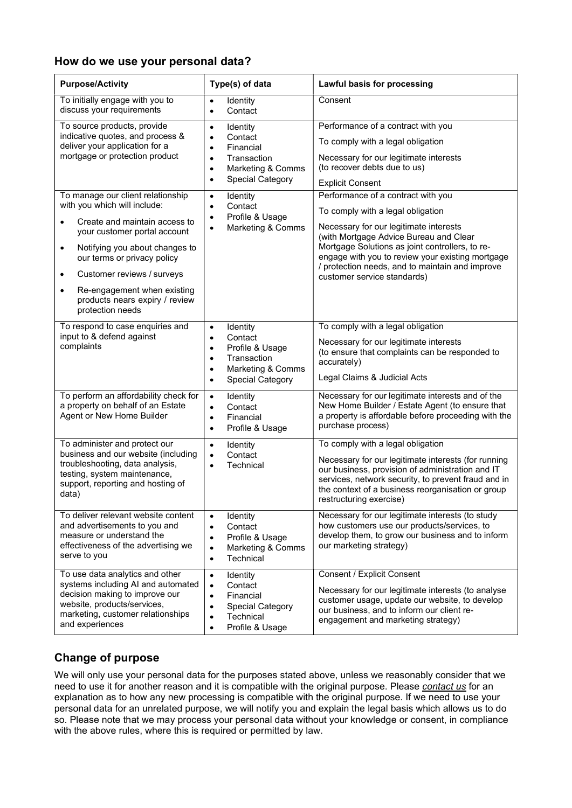#### How do we use your personal data?

| <b>Purpose/Activity</b>                                                                                                                                                                                                                                                                                                                                                    | Type(s) of data                                                                                                                                                              | <b>Lawful basis for processing</b>                                                                                                                                                                                                                                                                                                                   |
|----------------------------------------------------------------------------------------------------------------------------------------------------------------------------------------------------------------------------------------------------------------------------------------------------------------------------------------------------------------------------|------------------------------------------------------------------------------------------------------------------------------------------------------------------------------|------------------------------------------------------------------------------------------------------------------------------------------------------------------------------------------------------------------------------------------------------------------------------------------------------------------------------------------------------|
| To initially engage with you to<br>discuss your requirements                                                                                                                                                                                                                                                                                                               | Identity<br>$\bullet$<br>Contact<br>$\bullet$                                                                                                                                | Consent                                                                                                                                                                                                                                                                                                                                              |
| To source products, provide<br>indicative quotes, and process &<br>deliver your application for a<br>mortgage or protection product                                                                                                                                                                                                                                        | Identity<br>$\bullet$<br>Contact<br>$\bullet$<br>Financial<br>$\bullet$<br>Transaction<br>$\bullet$<br>Marketing & Comms<br>$\bullet$<br>Special Category<br>$\bullet$       | Performance of a contract with you<br>To comply with a legal obligation<br>Necessary for our legitimate interests<br>(to recover debts due to us)<br><b>Explicit Consent</b>                                                                                                                                                                         |
| To manage our client relationship<br>with you which will include:<br>Create and maintain access to<br>$\bullet$<br>your customer portal account<br>Notifying you about changes to<br>$\bullet$<br>our terms or privacy policy<br>Customer reviews / surveys<br>$\bullet$<br>Re-engagement when existing<br>$\bullet$<br>products nears expiry / review<br>protection needs | Identity<br>$\bullet$<br>Contact<br>$\bullet$<br>Profile & Usage<br>$\bullet$<br>Marketing & Comms<br>$\bullet$                                                              | Performance of a contract with you<br>To comply with a legal obligation<br>Necessary for our legitimate interests<br>(with Mortgage Advice Bureau and Clear<br>Mortgage Solutions as joint controllers, to re-<br>engage with you to review your existing mortgage<br>/ protection needs, and to maintain and improve<br>customer service standards) |
| To respond to case enquiries and<br>input to & defend against<br>complaints                                                                                                                                                                                                                                                                                                | Identity<br>$\bullet$<br>Contact<br>$\bullet$<br>Profile & Usage<br>$\bullet$<br>Transaction<br>$\bullet$<br>Marketing & Comms<br>$\bullet$<br>Special Category<br>$\bullet$ | To comply with a legal obligation<br>Necessary for our legitimate interests<br>(to ensure that complaints can be responded to<br>accurately)<br>Legal Claims & Judicial Acts                                                                                                                                                                         |
| To perform an affordability check for<br>a property on behalf of an Estate<br>Agent or New Home Builder                                                                                                                                                                                                                                                                    | Identity<br>$\bullet$<br>Contact<br>$\bullet$<br>Financial<br>$\bullet$<br>Profile & Usage<br>$\bullet$                                                                      | Necessary for our legitimate interests and of the<br>New Home Builder / Estate Agent (to ensure that<br>a property is affordable before proceeding with the<br>purchase process)                                                                                                                                                                     |
| To administer and protect our<br>business and our website (including<br>troubleshooting, data analysis,<br>testing, system maintenance,<br>support, reporting and hosting of<br>data)                                                                                                                                                                                      | Identity<br>$\bullet$<br>Contact<br>$\bullet$<br>Technical<br>$\bullet$                                                                                                      | To comply with a legal obligation<br>Necessary for our legitimate interests (for running<br>our business, provision of administration and IT<br>services, network security, to prevent fraud and in<br>the context of a business reorganisation or group<br>restructuring exercise)                                                                  |
| To deliver relevant website content<br>and advertisements to you and<br>measure or understand the<br>effectiveness of the advertising we<br>serve to you                                                                                                                                                                                                                   | Identity<br>$\bullet$<br>Contact<br>$\bullet$<br>Profile & Usage<br>$\bullet$<br>Marketing & Comms<br>$\bullet$<br>Technical<br>$\bullet$                                    | Necessary for our legitimate interests (to study<br>how customers use our products/services, to<br>develop them, to grow our business and to inform<br>our marketing strategy)                                                                                                                                                                       |
| To use data analytics and other<br>systems including AI and automated<br>decision making to improve our<br>website, products/services,<br>marketing, customer relationships<br>and experiences                                                                                                                                                                             | Identity<br>$\bullet$<br>Contact<br>$\bullet$<br>Financial<br>$\bullet$<br>Special Category<br>$\bullet$<br>Technical<br>$\bullet$<br>Profile & Usage<br>$\bullet$           | <b>Consent / Explicit Consent</b><br>Necessary for our legitimate interests (to analyse<br>customer usage, update our website, to develop<br>our business, and to inform our client re-<br>engagement and marketing strategy)                                                                                                                        |

# Change of purpose

We will only use your personal data for the purposes stated above, unless we reasonably consider that we need to use it for another reason and it is compatible with the original purpose. Please contact us for an explanation as to how any new processing is compatible with the original purpose. If we need to use your personal data for an unrelated purpose, we will notify you and explain the legal basis which allows us to do so. Please note that we may process your personal data without your knowledge or consent, in compliance with the above rules, where this is required or permitted by law.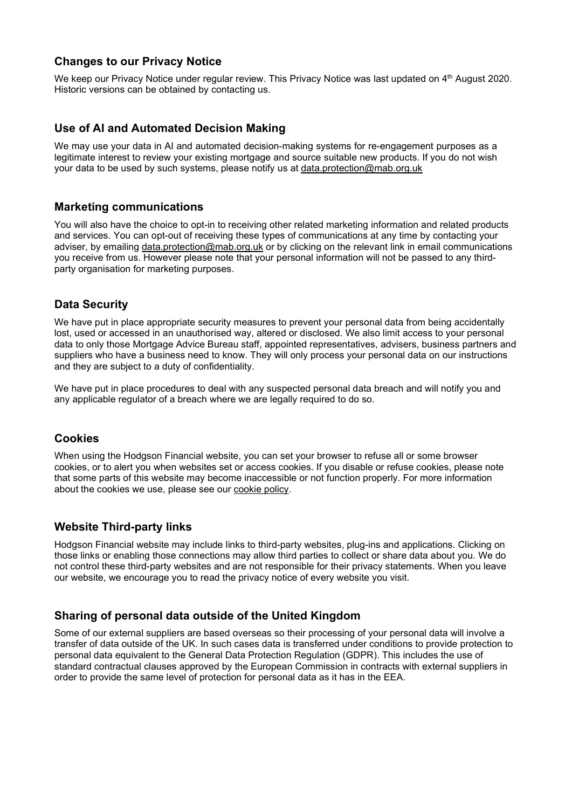## Changes to our Privacy Notice

We keep our Privacy Notice under regular review. This Privacy Notice was last updated on 4<sup>th</sup> August 2020. Historic versions can be obtained by contacting us.

## Use of AI and Automated Decision Making

We may use your data in AI and automated decision-making systems for re-engagement purposes as a legitimate interest to review your existing mortgage and source suitable new products. If you do not wish your data to be used by such systems, please notify us at data.protection@mab.org.uk

#### Marketing communications

You will also have the choice to opt-in to receiving other related marketing information and related products and services. You can opt-out of receiving these types of communications at any time by contacting your adviser, by emailing data.protection@mab.org.uk or by clicking on the relevant link in email communications you receive from us. However please note that your personal information will not be passed to any thirdparty organisation for marketing purposes.

#### Data Security

We have put in place appropriate security measures to prevent your personal data from being accidentally lost, used or accessed in an unauthorised way, altered or disclosed. We also limit access to your personal data to only those Mortgage Advice Bureau staff, appointed representatives, advisers, business partners and suppliers who have a business need to know. They will only process your personal data on our instructions and they are subject to a duty of confidentiality.

We have put in place procedures to deal with any suspected personal data breach and will notify you and any applicable regulator of a breach where we are legally required to do so.

## Cookies

When using the Hodgson Financial website, you can set your browser to refuse all or some browser cookies, or to alert you when websites set or access cookies. If you disable or refuse cookies, please note that some parts of this website may become inaccessible or not function properly. For more information about the cookies we use, please see our cookie policy.

#### Website Third-party links

Hodgson Financial website may include links to third-party websites, plug-ins and applications. Clicking on those links or enabling those connections may allow third parties to collect or share data about you. We do not control these third-party websites and are not responsible for their privacy statements. When you leave our website, we encourage you to read the privacy notice of every website you visit.

#### Sharing of personal data outside of the United Kingdom

Some of our external suppliers are based overseas so their processing of your personal data will involve a transfer of data outside of the UK. In such cases data is transferred under conditions to provide protection to personal data equivalent to the General Data Protection Regulation (GDPR). This includes the use of standard contractual clauses approved by the European Commission in contracts with external suppliers in order to provide the same level of protection for personal data as it has in the EEA.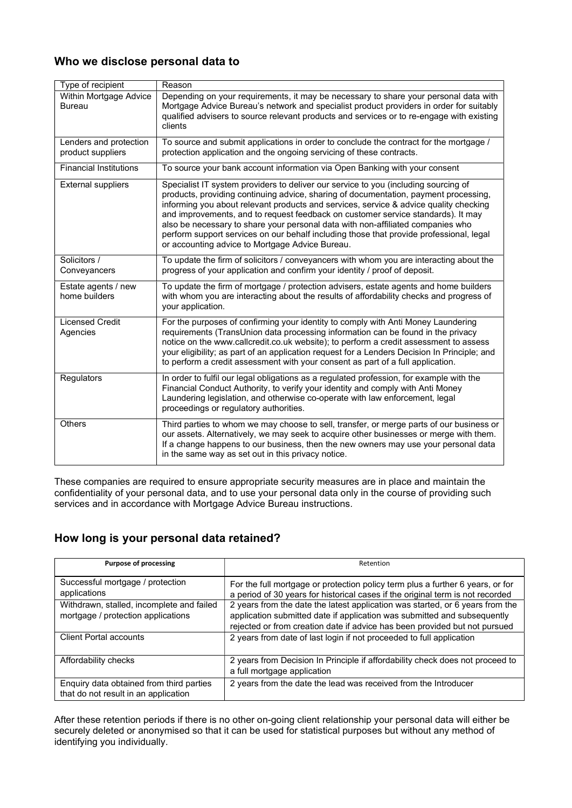## Who we disclose personal data to

| Type of recipient                           | Reason                                                                                                                                                                                                                                                                                                                                                                                                                                                                                                                                                                                    |
|---------------------------------------------|-------------------------------------------------------------------------------------------------------------------------------------------------------------------------------------------------------------------------------------------------------------------------------------------------------------------------------------------------------------------------------------------------------------------------------------------------------------------------------------------------------------------------------------------------------------------------------------------|
| Within Mortgage Advice<br><b>Bureau</b>     | Depending on your requirements, it may be necessary to share your personal data with<br>Mortgage Advice Bureau's network and specialist product providers in order for suitably<br>qualified advisers to source relevant products and services or to re-engage with existing<br>clients                                                                                                                                                                                                                                                                                                   |
| Lenders and protection<br>product suppliers | To source and submit applications in order to conclude the contract for the mortgage /<br>protection application and the ongoing servicing of these contracts.                                                                                                                                                                                                                                                                                                                                                                                                                            |
| <b>Financial Institutions</b>               | To source your bank account information via Open Banking with your consent                                                                                                                                                                                                                                                                                                                                                                                                                                                                                                                |
| <b>External suppliers</b>                   | Specialist IT system providers to deliver our service to you (including sourcing of<br>products, providing continuing advice, sharing of documentation, payment processing,<br>informing you about relevant products and services, service & advice quality checking<br>and improvements, and to request feedback on customer service standards). It may<br>also be necessary to share your personal data with non-affiliated companies who<br>perform support services on our behalf including those that provide professional, legal<br>or accounting advice to Mortgage Advice Bureau. |
| Solicitors /<br>Conveyancers                | To update the firm of solicitors / conveyancers with whom you are interacting about the<br>progress of your application and confirm your identity / proof of deposit.                                                                                                                                                                                                                                                                                                                                                                                                                     |
| Estate agents / new<br>home builders        | To update the firm of mortgage / protection advisers, estate agents and home builders<br>with whom you are interacting about the results of affordability checks and progress of<br>your application.                                                                                                                                                                                                                                                                                                                                                                                     |
| <b>Licensed Credit</b><br>Agencies          | For the purposes of confirming your identity to comply with Anti Money Laundering<br>requirements (TransUnion data processing information can be found in the privacy<br>notice on the www.callcredit.co.uk website); to perform a credit assessment to assess<br>your eligibility; as part of an application request for a Lenders Decision In Principle; and<br>to perform a credit assessment with your consent as part of a full application.                                                                                                                                         |
| Regulators                                  | In order to fulfil our legal obligations as a regulated profession, for example with the<br>Financial Conduct Authority, to verify your identity and comply with Anti Money<br>Laundering legislation, and otherwise co-operate with law enforcement, legal<br>proceedings or regulatory authorities.                                                                                                                                                                                                                                                                                     |
| Others                                      | Third parties to whom we may choose to sell, transfer, or merge parts of our business or<br>our assets. Alternatively, we may seek to acquire other businesses or merge with them.<br>If a change happens to our business, then the new owners may use your personal data<br>in the same way as set out in this privacy notice.                                                                                                                                                                                                                                                           |

These companies are required to ensure appropriate security measures are in place and maintain the confidentiality of your personal data, and to use your personal data only in the course of providing such services and in accordance with Mortgage Advice Bureau instructions.

# How long is your personal data retained?

| <b>Purpose of processing</b>                                                     | Retention                                                                                                                                                                                                                               |
|----------------------------------------------------------------------------------|-----------------------------------------------------------------------------------------------------------------------------------------------------------------------------------------------------------------------------------------|
| Successful mortgage / protection<br>applications                                 | For the full mortgage or protection policy term plus a further 6 years, or for<br>a period of 30 years for historical cases if the original term is not recorded                                                                        |
| Withdrawn, stalled, incomplete and failed<br>mortgage / protection applications  | 2 years from the date the latest application was started, or 6 years from the<br>application submitted date if application was submitted and subsequently<br>rejected or from creation date if advice has been provided but not pursued |
| <b>Client Portal accounts</b>                                                    | 2 years from date of last login if not proceeded to full application                                                                                                                                                                    |
| Affordability checks                                                             | 2 years from Decision In Principle if affordability check does not proceed to<br>a full mortgage application                                                                                                                            |
| Enquiry data obtained from third parties<br>that do not result in an application | 2 years from the date the lead was received from the Introducer                                                                                                                                                                         |

After these retention periods if there is no other on-going client relationship your personal data will either be securely deleted or anonymised so that it can be used for statistical purposes but without any method of identifying you individually.